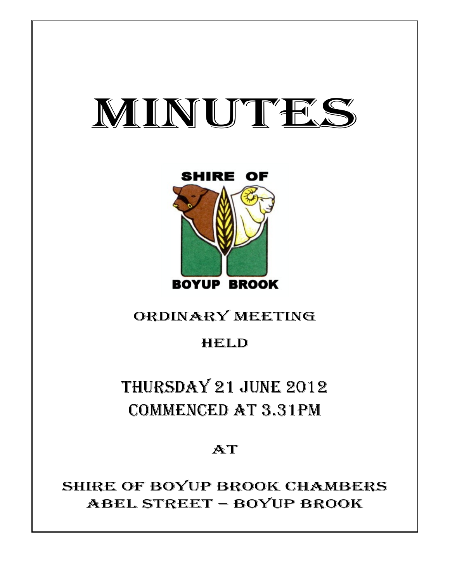# MINUTES



### ORDINARY MEETING

### HELD

## THURSDAY 21 JUNE 2012 COMMENCED AT 3.31PM

### **AT**

SHIRE OF BOYUP BROOK CHAMBERS ABEL STREET – BOYUP BROOK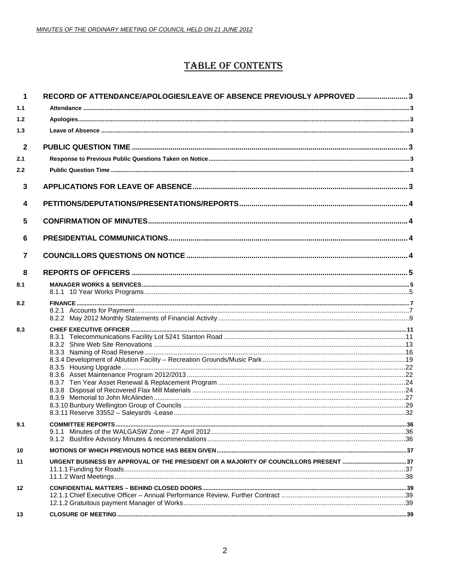### **TABLE OF CONTENTS**

| 1                       | RECORD OF ATTENDANCE/APOLOGIES/LEAVE OF ABSENCE PREVIOUSLY APPROVED 3                |  |
|-------------------------|--------------------------------------------------------------------------------------|--|
| 1.1                     |                                                                                      |  |
| 1.2                     |                                                                                      |  |
| 1.3                     |                                                                                      |  |
| $\mathbf{2}$            |                                                                                      |  |
| 2.1                     |                                                                                      |  |
| 2.2                     |                                                                                      |  |
| $\mathbf{3}$            |                                                                                      |  |
| $\overline{\mathbf{4}}$ |                                                                                      |  |
| 5                       |                                                                                      |  |
| 6                       |                                                                                      |  |
| $\overline{7}$          |                                                                                      |  |
| 8                       |                                                                                      |  |
| 8.1                     |                                                                                      |  |
| 8.2                     |                                                                                      |  |
| 8.3                     |                                                                                      |  |
| 9.1                     | 9.1.1                                                                                |  |
| 10                      |                                                                                      |  |
| 11                      | URGENT BUSINESS BY APPROVAL OF THE PRESIDENT OR A MAJORITY OF COUNCILLORS PRESENT 37 |  |
| 12                      |                                                                                      |  |
| 13                      |                                                                                      |  |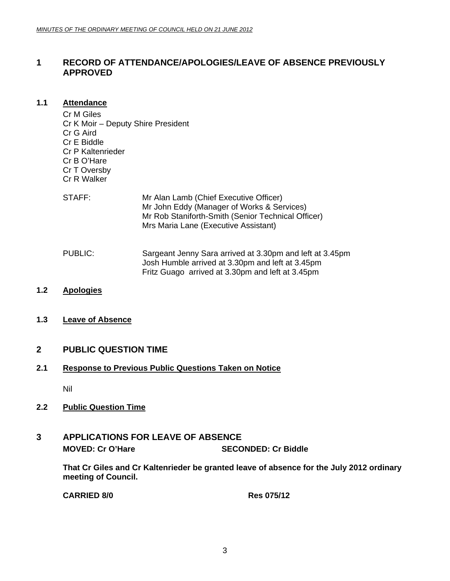#### <span id="page-2-0"></span>**1 RECORD OF ATTENDANCE/APOLOGIES/LEAVE OF ABSENCE PREVIOUSLY APPROVED**

#### **1.1 Attendance**

Cr M Giles Cr K Moir – Deputy Shire President Cr G Aird Cr E Biddle Cr P Kaltenrieder Cr B O'Hare Cr T Oversby Cr R Walker

- STAFF: Mr Alan Lamb (Chief Executive Officer) Mr John Eddy (Manager of Works & Services) Mr Rob Staniforth-Smith (Senior Technical Officer) Mrs Maria Lane (Executive Assistant)
- PUBLIC: Sargeant Jenny Sara arrived at 3.30pm and left at 3.45pm Josh Humble arrived at 3.30pm and left at 3.45pm Fritz Guago arrived at 3.30pm and left at 3.45pm
- **1.2 Apologies**
- **1.3 Leave of Absence**

#### **2 PUBLIC QUESTION TIME**

#### **2.1 Response to Previous Public Questions Taken on Notice**

Nil

#### **2.2 Public Question Time**

### **3 APPLICATIONS FOR LEAVE OF ABSENCE MOVED: Cr O'Hare SECONDED: Cr Biddle**

**That Cr Giles and Cr Kaltenrieder be granted leave of absence for the July 2012 ordinary meeting of Council.** 

**CARRIED 8/0 Res 075/12**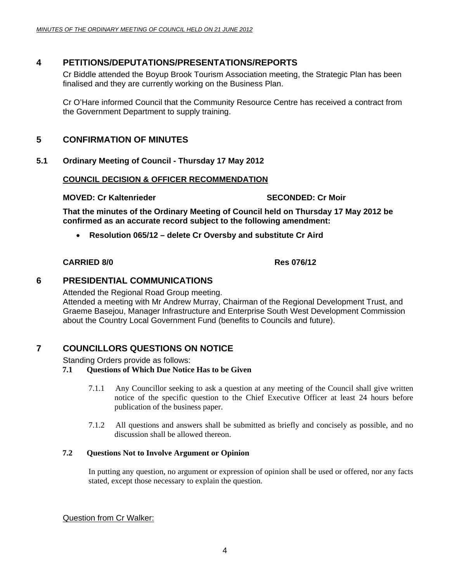#### <span id="page-3-0"></span>**4 PETITIONS/DEPUTATIONS/PRESENTATIONS/REPORTS**

Cr Biddle attended the Boyup Brook Tourism Association meeting, the Strategic Plan has been finalised and they are currently working on the Business Plan.

Cr O'Hare informed Council that the Community Resource Centre has received a contract from the Government Department to supply training.

#### **5 CONFIRMATION OF MINUTES**

#### **5.1 Ordinary Meeting of Council - Thursday 17 May 2012**

#### **COUNCIL DECISION & OFFICER RECOMMENDATION**

#### **MOVED: Cr Kaltenrieder SECONDED: Cr Moir and SECONDED: Cr Moir**

**That the minutes of the Ordinary Meeting of Council held on Thursday 17 May 2012 be confirmed as an accurate record subject to the following amendment:** 

• **Resolution 065/12 – delete Cr Oversby and substitute Cr Aird** 

#### **CARRIED 8/0 Res 076/12**

#### **6 PRESIDENTIAL COMMUNICATIONS**

Attended the Regional Road Group meeting.

Attended a meeting with Mr Andrew Murray, Chairman of the Regional Development Trust, and Graeme Basejou, Manager Infrastructure and Enterprise South West Development Commission about the Country Local Government Fund (benefits to Councils and future).

#### **7 COUNCILLORS QUESTIONS ON NOTICE**

Standing Orders provide as follows:

#### **7.1 Questions of Which Due Notice Has to be Given**

- 7.1.1 Any Councillor seeking to ask a question at any meeting of the Council shall give written notice of the specific question to the Chief Executive Officer at least 24 hours before publication of the business paper.
- 7.1.2 All questions and answers shall be submitted as briefly and concisely as possible, and no discussion shall be allowed thereon.

#### **7.2 Questions Not to Involve Argument or Opinion**

In putting any question, no argument or expression of opinion shall be used or offered, nor any facts stated, except those necessary to explain the question.

Question from Cr Walker: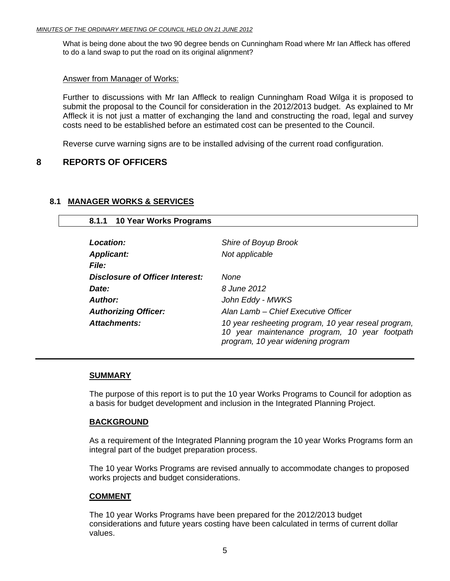<span id="page-4-0"></span>What is being done about the two 90 degree bends on Cunningham Road where Mr Ian Affleck has offered to do a land swap to put the road on its original alignment?

#### Answer from Manager of Works:

Further to discussions with Mr Ian Affleck to realign Cunningham Road Wilga it is proposed to submit the proposal to the Council for consideration in the 2012/2013 budget. As explained to Mr Affleck it is not just a matter of exchanging the land and constructing the road, legal and survey costs need to be established before an estimated cost can be presented to the Council.

Reverse curve warning signs are to be installed advising of the current road configuration.

#### **8 REPORTS OF OFFICERS**

#### **8.1 MANAGER WORKS & SERVICES**

 **8.1.1 10 Year Works Programs** 

| Location:                       | Shire of Boyup Brook                                                                                                                      |
|---------------------------------|-------------------------------------------------------------------------------------------------------------------------------------------|
| <b>Applicant:</b>               | Not applicable                                                                                                                            |
| <i>File:</i>                    |                                                                                                                                           |
| Disclosure of Officer Interest: | None                                                                                                                                      |
| Date:                           | 8 June 2012                                                                                                                               |
| Author:                         | John Eddy - MWKS                                                                                                                          |
| <b>Authorizing Officer:</b>     | Alan Lamb - Chief Executive Officer                                                                                                       |
| Attachments:                    | 10 year resheeting program, 10 year reseal program,<br>10 year maintenance program, 10 year footpath<br>program, 10 year widening program |

#### **SUMMARY**

The purpose of this report is to put the 10 year Works Programs to Council for adoption as a basis for budget development and inclusion in the Integrated Planning Project.

#### **BACKGROUND**

As a requirement of the Integrated Planning program the 10 year Works Programs form an integral part of the budget preparation process.

The 10 year Works Programs are revised annually to accommodate changes to proposed works projects and budget considerations.

#### **COMMENT**

The 10 year Works Programs have been prepared for the 2012/2013 budget considerations and future years costing have been calculated in terms of current dollar values.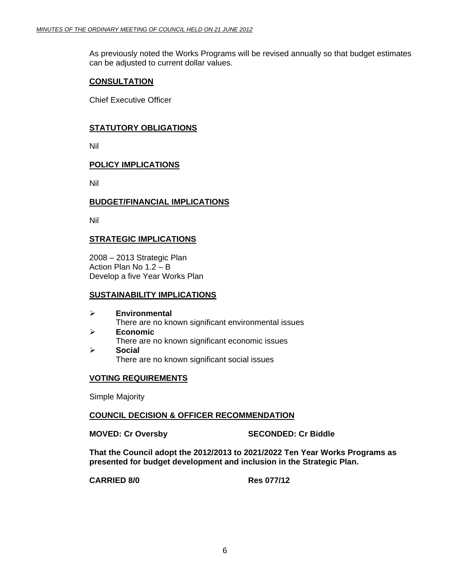As previously noted the Works Programs will be revised annually so that budget estimates can be adjusted to current dollar values.

#### **CONSULTATION**

Chief Executive Officer

#### **STATUTORY OBLIGATIONS**

Nil

#### **POLICY IMPLICATIONS**

Nil

#### **BUDGET/FINANCIAL IMPLICATIONS**

Nil

#### **STRATEGIC IMPLICATIONS**

2008 – 2013 Strategic Plan Action Plan No 1.2 – B Develop a five Year Works Plan

#### **SUSTAINABILITY IMPLICATIONS**

- ¾ **Environmental** There are no known significant environmental issues ¾ **Economic** There are no known significant economic issues
- ¾ **Social** There are no known significant social issues

#### **VOTING REQUIREMENTS**

Simple Majority

#### **COUNCIL DECISION & OFFICER RECOMMENDATION**

**MOVED: Cr Oversby SECONDED: Cr Biddle** 

**That the Council adopt the 2012/2013 to 2021/2022 Ten Year Works Programs as presented for budget development and inclusion in the Strategic Plan.** 

**CARRIED 8/0 Res 077/12**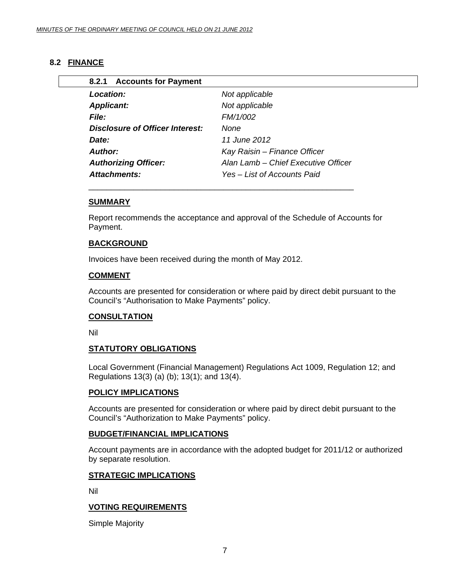#### <span id="page-6-0"></span>**8.2 FINANCE**

| <b>Location:</b>                | Not applicable                      |
|---------------------------------|-------------------------------------|
| <b>Applicant:</b>               | Not applicable                      |
| <b>File:</b>                    | FM/1/002                            |
| Disclosure of Officer Interest: | None                                |
| Date:                           | 11 June 2012                        |
| Author:                         | Kay Raisin - Finance Officer        |
| <b>Authorizing Officer:</b>     | Alan Lamb - Chief Executive Officer |
| Attachments:                    | Yes – List of Accounts Paid         |

#### **SUMMARY**

Report recommends the acceptance and approval of the Schedule of Accounts for Payment.

#### **BACKGROUND**

Invoices have been received during the month of May 2012.

#### **COMMENT**

Accounts are presented for consideration or where paid by direct debit pursuant to the Council's "Authorisation to Make Payments" policy.

#### **CONSULTATION**

Nil

#### **STATUTORY OBLIGATIONS**

Local Government (Financial Management) Regulations Act 1009, Regulation 12; and Regulations 13(3) (a) (b); 13(1); and 13(4).

#### **POLICY IMPLICATIONS**

Accounts are presented for consideration or where paid by direct debit pursuant to the Council's "Authorization to Make Payments" policy.

#### **BUDGET/FINANCIAL IMPLICATIONS**

Account payments are in accordance with the adopted budget for 2011/12 or authorized by separate resolution.

#### **STRATEGIC IMPLICATIONS**

Nil

#### **VOTING REQUIREMENTS**

Simple Majority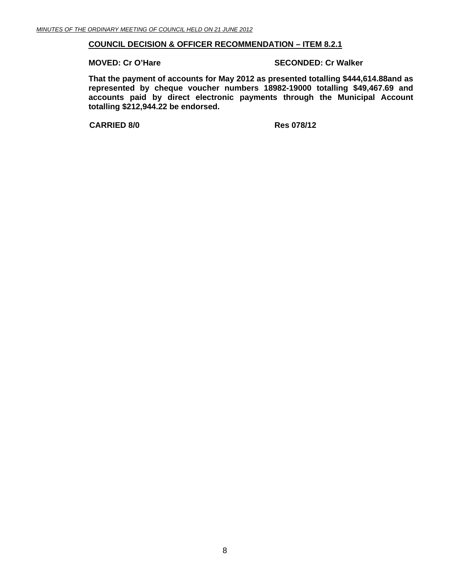#### **COUNCIL DECISION & OFFICER RECOMMENDATION – ITEM 8.2.1**

#### **MOVED: Cr O'Hare SECONDED: Cr Walker**

**That the payment of accounts for May 2012 as presented totalling \$444,614.88and as represented by cheque voucher numbers 18982-19000 totalling \$49,467.69 and accounts paid by direct electronic payments through the Municipal Account totalling \$212,944.22 be endorsed.** 

**CARRIED 8/0 Res 078/12**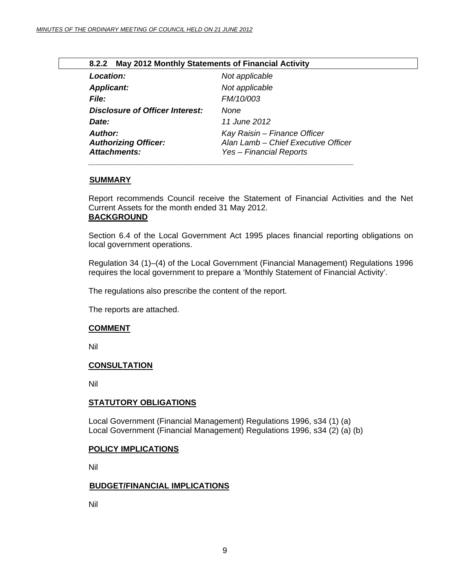<span id="page-8-0"></span>

| 8.2.2 May 2012 Monthly Statements of Financial Activity              |                                                                                                |  |
|----------------------------------------------------------------------|------------------------------------------------------------------------------------------------|--|
| Location:                                                            | Not applicable                                                                                 |  |
| <b>Applicant:</b>                                                    | Not applicable                                                                                 |  |
| <i>File:</i>                                                         | FM/10/003                                                                                      |  |
| <b>Disclosure of Officer Interest:</b>                               | None                                                                                           |  |
| Date:                                                                | <i>11 June 2012</i>                                                                            |  |
| <b>Author:</b><br><b>Authorizing Officer:</b><br><b>Attachments:</b> | Kay Raisin - Finance Officer<br>Alan Lamb - Chief Executive Officer<br>Yes - Financial Reports |  |

### **SUMMARY**

Report recommends Council receive the Statement of Financial Activities and the Net Current Assets for the month ended 31 May 2012. **BACKGROUND**

Section 6.4 of the Local Government Act 1995 places financial reporting obligations on local government operations.

Regulation 34 (1)–(4) of the Local Government (Financial Management) Regulations 1996 requires the local government to prepare a 'Monthly Statement of Financial Activity'.

The regulations also prescribe the content of the report.

The reports are attached.

#### **COMMENT**

Nil

#### **CONSULTATION**

Nil

#### **STATUTORY OBLIGATIONS**

Local Government (Financial Management) Regulations 1996, s34 (1) (a) Local Government (Financial Management) Regulations 1996, s34 (2) (a) (b)

#### **POLICY IMPLICATIONS**

Nil

#### **BUDGET/FINANCIAL IMPLICATIONS**

Nil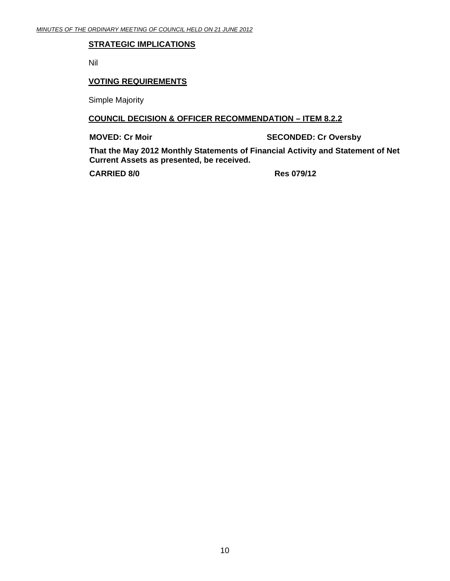#### **STRATEGIC IMPLICATIONS**

Nil

#### **VOTING REQUIREMENTS**

Simple Majority

#### **COUNCIL DECISION & OFFICER RECOMMENDATION – ITEM 8.2.2**

**MOVED: Cr Moir** SECONDED: Cr Oversby

**That the May 2012 Monthly Statements of Financial Activity and Statement of Net Current Assets as presented, be received.** 

**CARRIED 8/0 Res 079/12**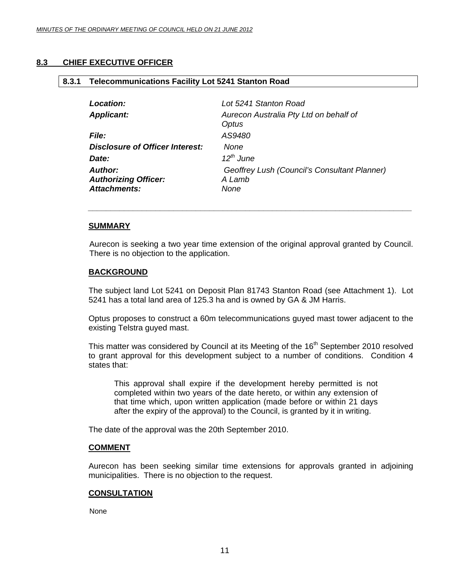**8.3.1 Telecommunications Facility Lot 5241 Stanton Road** 

#### <span id="page-10-0"></span>**8.3 CHIEF EXECUTIVE OFFICER**

### *Location: Lot 5241 Stanton Road Applicant: Aurecon Australia Pty Ltd on behalf of Optus File: AS9480 Disclosure of Officer Interest: None Date: 12th June Author: Geoffrey Lush (Council's Consultant Planner) Authorizing Officer: A Lamb Attachments: None*

 *\_\_\_\_\_\_\_\_\_\_\_\_\_\_\_\_\_\_\_\_\_\_\_\_\_\_\_\_\_\_\_\_\_\_\_\_\_\_\_\_\_\_\_\_\_\_\_\_\_\_\_\_\_\_\_\_\_\_\_\_\_\_\_\_\_\_\_\_\_\_\_\_* 

#### **SUMMARY**

Aurecon is seeking a two year time extension of the original approval granted by Council. There is no objection to the application.

#### **BACKGROUND**

The subject land Lot 5241 on Deposit Plan 81743 Stanton Road (see Attachment 1). Lot 5241 has a total land area of 125.3 ha and is owned by GA & JM Harris.

Optus proposes to construct a 60m telecommunications guyed mast tower adjacent to the existing Telstra guyed mast.

This matter was considered by Council at its Meeting of the 16<sup>th</sup> September 2010 resolved to grant approval for this development subject to a number of conditions. Condition 4 states that:

This approval shall expire if the development hereby permitted is not completed within two years of the date hereto, or within any extension of that time which, upon written application (made before or within 21 days after the expiry of the approval) to the Council, is granted by it in writing.

The date of the approval was the 20th September 2010.

#### **COMMENT**

Aurecon has been seeking similar time extensions for approvals granted in adjoining municipalities. There is no objection to the request.

#### **CONSULTATION**

None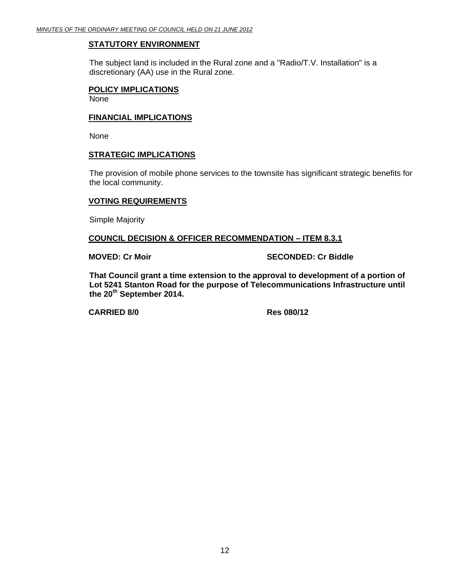#### **STATUTORY ENVIRONMENT**

The subject land is included in the Rural zone and a "Radio/T.V. Installation" is a discretionary (AA) use in the Rural zone.

#### **POLICY IMPLICATIONS** None

#### **FINANCIAL IMPLICATIONS**

None

#### **STRATEGIC IMPLICATIONS**

The provision of mobile phone services to the townsite has significant strategic benefits for the local community.

#### **VOTING REQUIREMENTS**

Simple Majority

#### **COUNCIL DECISION & OFFICER RECOMMENDATION – ITEM 8.3.1**

**MOVED: Cr Moir SECONDED: Cr Biddle** 

**That Council grant a time extension to the approval to development of a portion of Lot 5241 Stanton Road for the purpose of Telecommunications Infrastructure until the 20th September 2014.** 

**CARRIED 8/0 Res 080/12**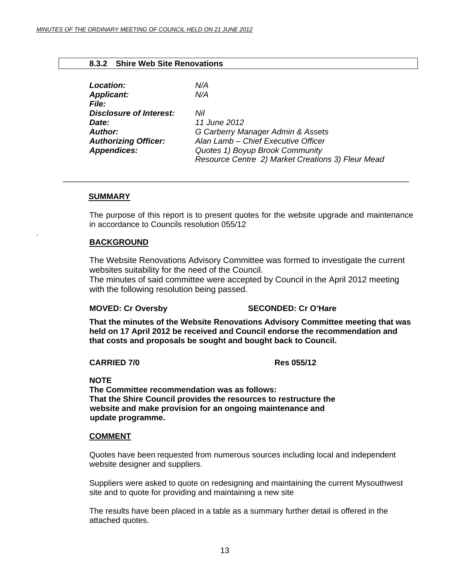#### **8.3.2 Shire Web Site Renovations**

<span id="page-12-0"></span>

| Location:                      | N/A                                               |
|--------------------------------|---------------------------------------------------|
| <b>Applicant:</b>              | N/A                                               |
| <i>File:</i>                   |                                                   |
| <b>Disclosure of Interest:</b> | Nil                                               |
| Date:                          | 11 June 2012                                      |
| <b>Author:</b>                 | G Carberry Manager Admin & Assets                 |
| <b>Authorizing Officer:</b>    | Alan Lamb - Chief Executive Officer               |
| <b>Appendices:</b>             | Quotes 1) Boyup Brook Community                   |
|                                | Resource Centre 2) Market Creations 3) Fleur Mead |

\_\_\_\_\_\_\_\_\_\_\_\_\_\_\_\_\_\_\_\_\_\_\_\_\_\_\_\_\_\_\_\_\_\_\_\_\_\_\_\_\_\_\_\_\_\_\_\_\_\_\_\_\_\_\_\_\_\_\_\_\_\_\_\_\_\_\_\_\_\_\_\_\_\_\_\_\_

#### **SUMMARY**

.

The purpose of this report is to present quotes for the website upgrade and maintenance in accordance to Councils resolution 055/12

#### **BACKGROUND**

The Website Renovations Advisory Committee was formed to investigate the current websites suitability for the need of the Council.

The minutes of said committee were accepted by Council in the April 2012 meeting with the following resolution being passed.

#### **MOVED: Cr Oversby SECONDED: Cr O'Hare**

 **That the minutes of the Website Renovations Advisory Committee meeting that was held on 17 April 2012 be received and Council endorse the recommendation and that costs and proposals be sought and bought back to Council.** 

#### **CARRIED 7/0 Res 055/12**

### **NOTE**

 **The Committee recommendation was as follows: That the Shire Council provides the resources to restructure the website and make provision for an ongoing maintenance and update programme.** 

#### **COMMENT**

Quotes have been requested from numerous sources including local and independent website designer and suppliers.

Suppliers were asked to quote on redesigning and maintaining the current Mysouthwest site and to quote for providing and maintaining a new site

The results have been placed in a table as a summary further detail is offered in the attached quotes.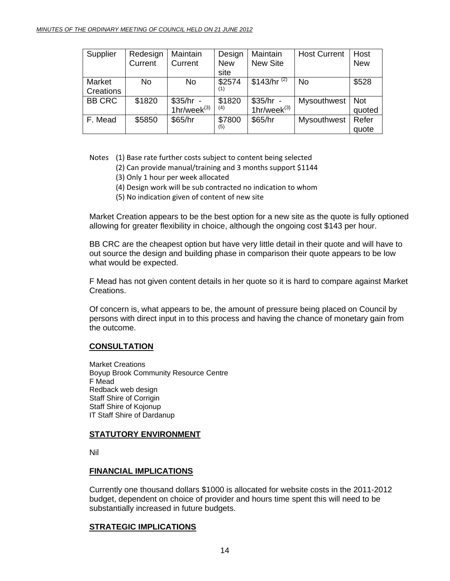| Supplier      | Redesign | Maintain         | Design     | Maintain          | <b>Host Current</b> | Host       |
|---------------|----------|------------------|------------|-------------------|---------------------|------------|
|               | Current  | Current          | <b>New</b> | <b>New Site</b>   |                     | <b>New</b> |
|               |          |                  | site       |                   |                     |            |
| Market        | No       | No.              | \$2574     | \$143/hr $^{(2)}$ | <b>No</b>           | \$528      |
| Creations     |          |                  |            |                   |                     |            |
| <b>BB CRC</b> | \$1820   | $$35/hr -$       | \$1820     | $$35/hr -$        | Mysouthwest         | <b>Not</b> |
|               |          | $1hr/week^{(3)}$ | (4)        | $1hr/week^{(3)}$  |                     | quoted     |
| F. Mead       | \$5850   | \$65/hr          | \$7800     | \$65/hr           | Mysouthwest         | Refer      |
|               |          |                  |            |                   |                     | quote      |

Notes (1) Base rate further costs subject to content being selected

- (2) Can provide manual/training and 3 months support \$1144
	- (3) Only 1 hour per week allocated
	- (4) Design work will be sub contracted no indication to whom
	- (5) No indication given of content of new site

Market Creation appears to be the best option for a new site as the quote is fully optioned allowing for greater flexibility in choice, although the ongoing cost \$143 per hour.

BB CRC are the cheapest option but have very little detail in their quote and will have to out source the design and building phase in comparison their quote appears to be low what would be expected.

F Mead has not given content details in her quote so it is hard to compare against Market Creations.

Of concern is, what appears to be, the amount of pressure being placed on Council by persons with direct input in to this process and having the chance of monetary gain from the outcome.

#### **CONSULTATION**

 Market Creations Boyup Brook Community Resource Centre F Mead Redback web design Staff Shire of Corrigin Staff Shire of Kojonup IT Staff Shire of Dardanup

#### **STATUTORY ENVIRONMENT**

Nil

#### **FINANCIAL IMPLICATIONS**

Currently one thousand dollars \$1000 is allocated for website costs in the 2011-2012 budget, dependent on choice of provider and hours time spent this will need to be substantially increased in future budgets.

#### **STRATEGIC IMPLICATIONS**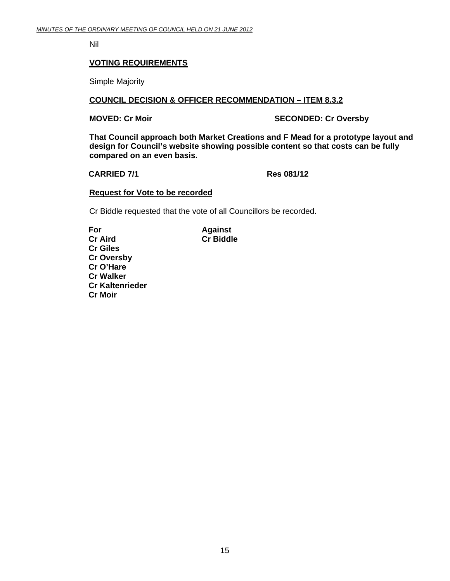Nil

#### **VOTING REQUIREMENTS**

Simple Majority

#### **COUNCIL DECISION & OFFICER RECOMMENDATION – ITEM 8.3.2**

**MOVED: Cr Moir** SECONDED: Cr Oversby

**That Council approach both Market Creations and F Mead for a prototype layout and design for Council's website showing possible content so that costs can be fully compared on an even basis.** 

#### **CARRIED 7/1 Res 081/12**

#### **Request for Vote to be recorded**

Cr Biddle requested that the vote of all Councillors be recorded.

**For Against Cr Aird Cr Biddle Cr Giles Cr Oversby Cr O'Hare Cr Walker Cr Kaltenrieder Cr Moir**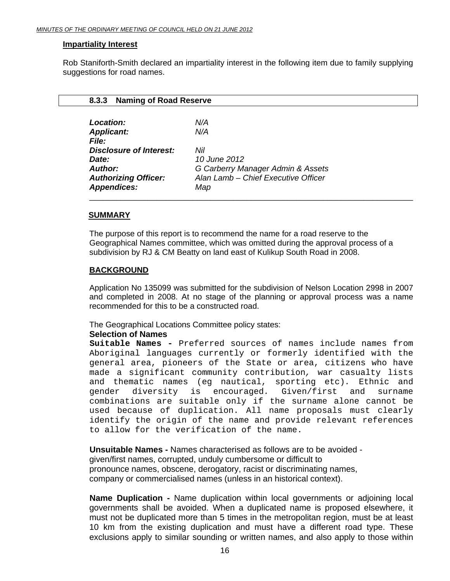#### <span id="page-15-0"></span>**Impartiality Interest**

Rob Staniforth-Smith declared an impartiality interest in the following item due to family supplying suggestions for road names.

| <b>Naming of Road Reserve</b><br>8.3.3 |                                     |
|----------------------------------------|-------------------------------------|
| Location:                              | N/A                                 |
| <b>Applicant:</b>                      | N/A                                 |
| <b>File:</b>                           |                                     |
| <b>Disclosure of Interest:</b>         | Nil                                 |
| Date:                                  | 10 June 2012                        |
| Author:                                | G Carberry Manager Admin & Assets   |
| <b>Authorizing Officer:</b>            | Alan Lamb - Chief Executive Officer |
| <b>Appendices:</b>                     | Map                                 |

#### **SUMMARY**

The purpose of this report is to recommend the name for a road reserve to the Geographical Names committee, which was omitted during the approval process of a subdivision by RJ & CM Beatty on land east of Kulikup South Road in 2008.

#### **BACKGROUND**

Application No 135099 was submitted for the subdivision of Nelson Location 2998 in 2007 and completed in 2008. At no stage of the planning or approval process was a name recommended for this to be a constructed road.

The Geographical Locations Committee policy states:

#### **Selection of Names**

**Suitable Names -** Preferred sources of names include names from Aboriginal languages currently or formerly identified with the general area, pioneers of the State or area, citizens who have made a significant community contribution*,* war casualty lists and thematic names (eg nautical, sporting etc)*.* Ethnic and gender diversity is encouraged*.* Given/first and surname combinations are suitable only if the surname alone cannot be used because of duplication. All name proposals must clearly identify the origin of the name and provide relevant references to allow for the verification of the name.

**Unsuitable Names -** Names characterised as follows are to be avoided given/first names, corrupted, unduly cumbersome or difficult to pronounce names, obscene, derogatory, racist or discriminating names, company or commercialised names (unless in an historical context).

**Name Duplication -** Name duplication within local governments or adjoining local governments shall be avoided. When a duplicated name is proposed elsewhere, it must not be duplicated more than 5 times in the metropolitan region, must be at least 10 km from the existing duplication and must have a different road type. These exclusions apply to similar sounding or written names, and also apply to those within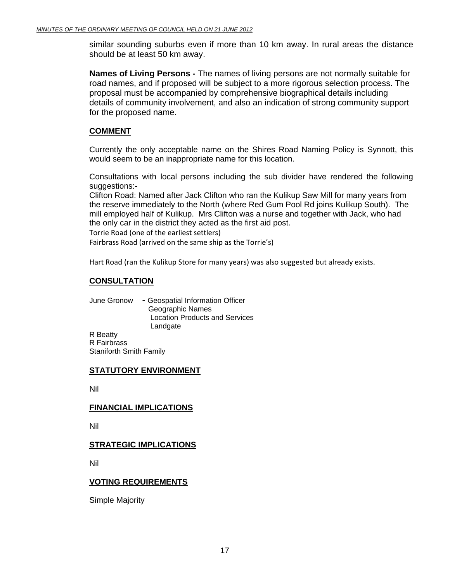similar sounding suburbs even if more than 10 km away. In rural areas the distance should be at least 50 km away.

**Names of Living Persons -** The names of living persons are not normally suitable for road names, and if proposed will be subject to a more rigorous selection process. The proposal must be accompanied by comprehensive biographical details including details of community involvement, and also an indication of strong community support for the proposed name.

#### **COMMENT**

Currently the only acceptable name on the Shires Road Naming Policy is Synnott, this would seem to be an inappropriate name for this location.

Consultations with local persons including the sub divider have rendered the following suggestions:-

Clifton Road: Named after Jack Clifton who ran the Kulikup Saw Mill for many years from the reserve immediately to the North (where Red Gum Pool Rd joins Kulikup South). The mill employed half of Kulikup. Mrs Clifton was a nurse and together with Jack, who had the only car in the district they acted as the first aid post.

Torrie Road (one of the earliest settlers)

Fairbrass Road (arrived on the same ship as the Torrie's)

Hart Road (ran the Kulikup Store for many years) was also suggested but already exists.

#### **CONSULTATION**

 June Gronow - Geospatial Information Officer Geographic Names Location Products and Services **Landgate** R Beatty

 R Fairbrass Staniforth Smith Family

#### **STATUTORY ENVIRONMENT**

Nil

#### **FINANCIAL IMPLICATIONS**

Nil

#### **STRATEGIC IMPLICATIONS**

Nil

#### **VOTING REQUIREMENTS**

Simple Majority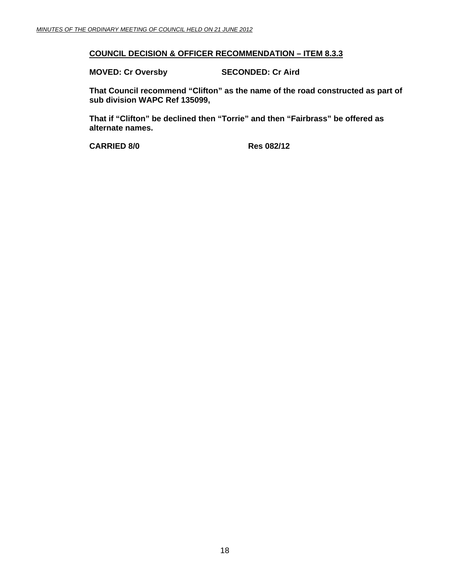#### **COUNCIL DECISION & OFFICER RECOMMENDATION – ITEM 8.3.3**

**MOVED: Cr Oversby SECONDED: Cr Aird** 

**That Council recommend "Clifton" as the name of the road constructed as part of sub division WAPC Ref 135099,** 

**That if "Clifton" be declined then "Torrie" and then "Fairbrass" be offered as alternate names.** 

**CARRIED 8/0 Res 082/12**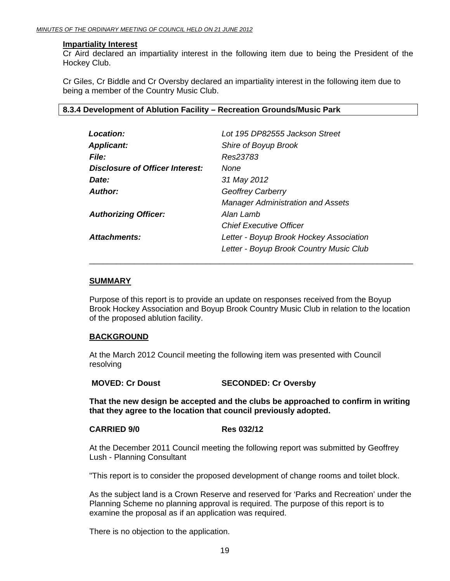#### <span id="page-18-0"></span> **Impartiality Interest**

Cr Aird declared an impartiality interest in the following item due to being the President of the Hockey Club.

Cr Giles, Cr Biddle and Cr Oversby declared an impartiality interest in the following item due to being a member of the Country Music Club.

#### **8.3.4 Development of Ablution Facility – Recreation Grounds/Music Park**

| Location:                       | Lot 195 DP82555 Jackson Street           |
|---------------------------------|------------------------------------------|
| <b>Applicant:</b>               | Shire of Boyup Brook                     |
| <b>File:</b>                    | Res23783                                 |
| Disclosure of Officer Interest: | None                                     |
| Date:                           | 31 May 2012                              |
| Author:                         | <b>Geoffrey Carberry</b>                 |
|                                 | <b>Manager Administration and Assets</b> |
| <b>Authorizing Officer:</b>     | Alan Lamb                                |
|                                 | <b>Chief Executive Officer</b>           |
| Attachments:                    | Letter - Boyup Brook Hockey Association  |
|                                 | Letter - Boyup Brook Country Music Club  |

#### **SUMMARY**

Purpose of this report is to provide an update on responses received from the Boyup Brook Hockey Association and Boyup Brook Country Music Club in relation to the location of the proposed ablution facility.

\_\_\_\_\_\_\_\_\_\_\_\_\_\_\_\_\_\_\_\_\_\_\_\_\_\_\_\_\_\_\_\_\_\_\_\_\_\_\_\_\_\_\_\_\_\_\_\_\_\_\_\_\_\_\_\_\_\_\_\_\_\_\_\_\_\_\_\_\_\_\_\_

#### **BACKGROUND**

At the March 2012 Council meeting the following item was presented with Council resolving

**MOVED: Cr Doust SECONDED: Cr Oversby** 

**That the new design be accepted and the clubs be approached to confirm in writing that they agree to the location that council previously adopted.** 

#### **CARRIED 9/0 Res 032/12**

At the December 2011 Council meeting the following report was submitted by Geoffrey Lush - Planning Consultant

"This report is to consider the proposed development of change rooms and toilet block.

As the subject land is a Crown Reserve and reserved for 'Parks and Recreation' under the Planning Scheme no planning approval is required. The purpose of this report is to examine the proposal as if an application was required.

There is no objection to the application.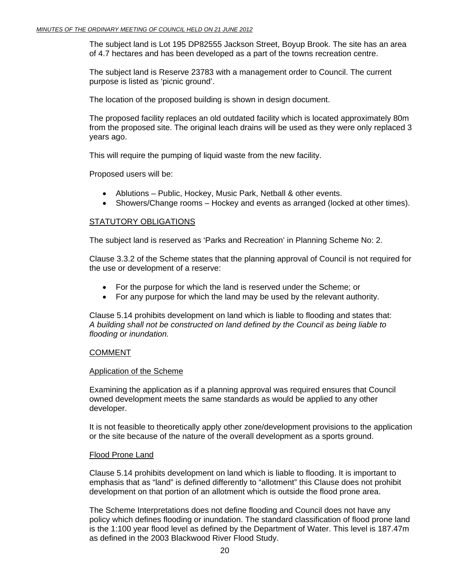The subject land is Lot 195 DP82555 Jackson Street, Boyup Brook. The site has an area of 4.7 hectares and has been developed as a part of the towns recreation centre.

The subject land is Reserve 23783 with a management order to Council. The current purpose is listed as 'picnic ground'.

The location of the proposed building is shown in design document.

The proposed facility replaces an old outdated facility which is located approximately 80m from the proposed site. The original leach drains will be used as they were only replaced 3 years ago.

This will require the pumping of liquid waste from the new facility.

Proposed users will be:

- Ablutions Public, Hockey, Music Park, Netball & other events.
- Showers/Change rooms Hockey and events as arranged (locked at other times).

#### STATUTORY OBLIGATIONS

The subject land is reserved as 'Parks and Recreation' in Planning Scheme No: 2.

Clause 3.3.2 of the Scheme states that the planning approval of Council is not required for the use or development of a reserve:

- For the purpose for which the land is reserved under the Scheme; or
- For any purpose for which the land may be used by the relevant authority.

Clause 5.14 prohibits development on land which is liable to flooding and states that: *A building shall not be constructed on land defined by the Council as being liable to flooding or inundation.* 

#### COMMENT

#### Application of the Scheme

Examining the application as if a planning approval was required ensures that Council owned development meets the same standards as would be applied to any other developer.

It is not feasible to theoretically apply other zone/development provisions to the application or the site because of the nature of the overall development as a sports ground.

#### Flood Prone Land

Clause 5.14 prohibits development on land which is liable to flooding. It is important to emphasis that as "land" is defined differently to "allotment" this Clause does not prohibit development on that portion of an allotment which is outside the flood prone area.

The Scheme Interpretations does not define flooding and Council does not have any policy which defines flooding or inundation. The standard classification of flood prone land is the 1:100 year flood level as defined by the Department of Water. This level is 187.47m as defined in the 2003 Blackwood River Flood Study.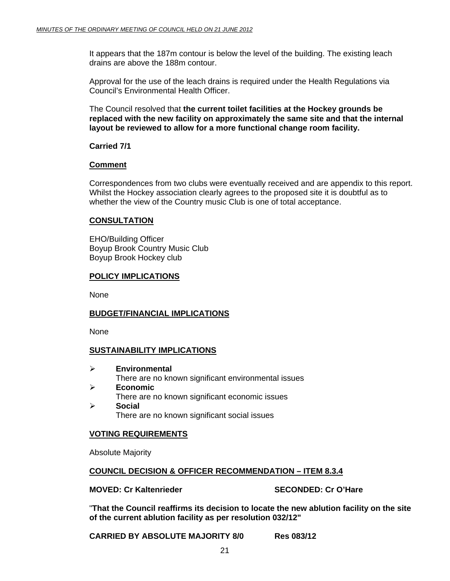It appears that the 187m contour is below the level of the building. The existing leach drains are above the 188m contour.

Approval for the use of the leach drains is required under the Health Regulations via Council's Environmental Health Officer.

The Council resolved that **the current toilet facilities at the Hockey grounds be replaced with the new facility on approximately the same site and that the internal layout be reviewed to allow for a more functional change room facility.** 

#### **Carried 7/1**

#### **Comment**

Correspondences from two clubs were eventually received and are appendix to this report. Whilst the Hockey association clearly agrees to the proposed site it is doubtful as to whether the view of the Country music Club is one of total acceptance.

#### **CONSULTATION**

EHO/Building Officer Boyup Brook Country Music Club Boyup Brook Hockey club

#### **POLICY IMPLICATIONS**

None

#### **BUDGET/FINANCIAL IMPLICATIONS**

None

#### **SUSTAINABILITY IMPLICATIONS**

- ¾ **Environmental** There are no known significant environmental issues
- ¾ **Economic** There are no known significant economic issues ¾ **Social**

There are no known significant social issues

#### **VOTING REQUIREMENTS**

Absolute Majority

#### **COUNCIL DECISION & OFFICER RECOMMENDATION – ITEM 8.3.4**

#### **MOVED: Cr Kaltenrieder SECONDED: Cr O'Hare**

"**That the Council reaffirms its decision to locate the new ablution facility on the site of the current ablution facility as per resolution 032/12"** 

**CARRIED BY ABSOLUTE MAJORITY 8/0 Res 083/12**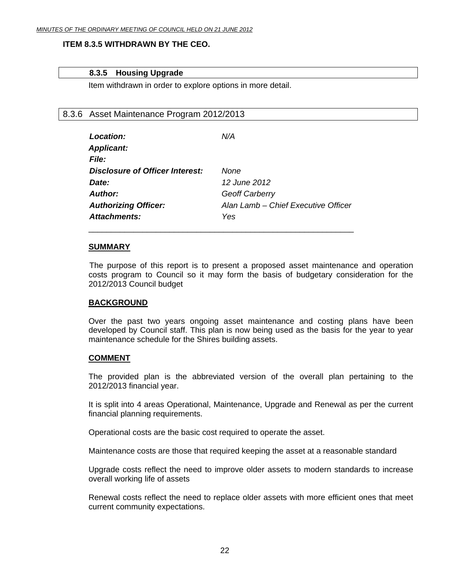#### <span id="page-21-0"></span>**ITEM 8.3.5 WITHDRAWN BY THE CEO.**

#### **8.3.5 Housing Upgrade**

Item withdrawn in order to explore options in more detail.

\_\_\_\_\_\_\_\_\_\_\_\_\_\_\_\_\_\_\_\_\_\_\_\_\_\_\_\_\_\_\_\_\_\_\_\_\_\_\_\_\_\_\_\_\_\_\_\_\_\_\_\_\_\_\_\_\_\_\_

#### 8.3.6 Asset Maintenance Program 2012/2013

| Location:                       | N/A                                 |
|---------------------------------|-------------------------------------|
| <b>Applicant:</b>               |                                     |
| <b>File:</b>                    |                                     |
| Disclosure of Officer Interest: | None                                |
| Date:                           | 12 June 2012                        |
| <b>Author:</b>                  | <b>Geoff Carberry</b>               |
| <b>Authorizing Officer:</b>     | Alan Lamb - Chief Executive Officer |
| <b>Attachments:</b>             | Yes                                 |

#### **SUMMARY**

 The purpose of this report is to present a proposed asset maintenance and operation costs program to Council so it may form the basis of budgetary consideration for the 2012/2013 Council budget

#### **BACKGROUND**

Over the past two years ongoing asset maintenance and costing plans have been developed by Council staff. This plan is now being used as the basis for the year to year maintenance schedule for the Shires building assets.

#### **COMMENT**

The provided plan is the abbreviated version of the overall plan pertaining to the 2012/2013 financial year.

It is split into 4 areas Operational, Maintenance, Upgrade and Renewal as per the current financial planning requirements.

Operational costs are the basic cost required to operate the asset.

Maintenance costs are those that required keeping the asset at a reasonable standard

Upgrade costs reflect the need to improve older assets to modern standards to increase overall working life of assets

Renewal costs reflect the need to replace older assets with more efficient ones that meet current community expectations.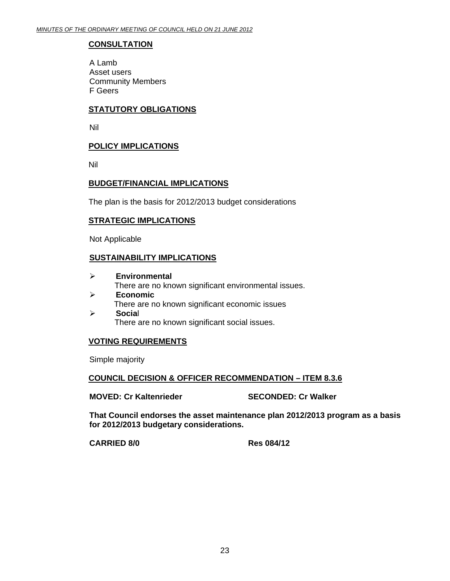#### **CONSULTATION**

 A Lamb Asset users Community Members F Geers

#### **STATUTORY OBLIGATIONS**

Nil

#### **POLICY IMPLICATIONS**

Nil

#### **BUDGET/FINANCIAL IMPLICATIONS**

The plan is the basis for 2012/2013 budget considerations

#### **STRATEGIC IMPLICATIONS**

Not Applicable

#### **SUSTAINABILITY IMPLICATIONS**

- ¾ **Environmental**  There are no known significant environmental issues. ¾ **Economic**  There are no known significant economic issues
- ¾ **Socia**l There are no known significant social issues.

#### **VOTING REQUIREMENTS**

Simple majority

#### **COUNCIL DECISION & OFFICER RECOMMENDATION – ITEM 8.3.6**

**MOVED: Cr Kaltenrieder SECONDED: Cr Walker** 

**That Council endorses the asset maintenance plan 2012/2013 program as a basis for 2012/2013 budgetary considerations.** 

**CARRIED 8/0 Res 084/12**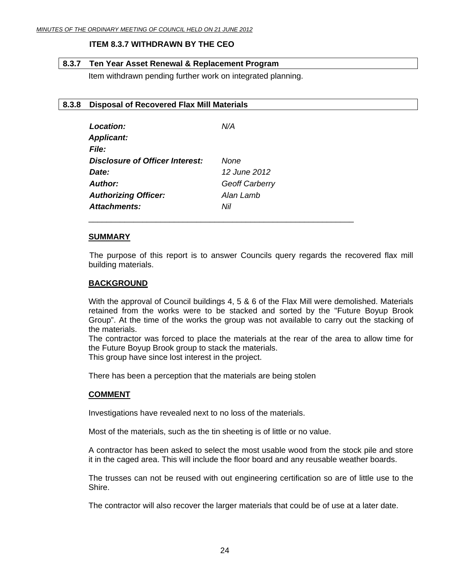#### **ITEM 8.3.7 WITHDRAWN BY THE CEO**

#### <span id="page-23-0"></span>**8.3.7 Ten Year Asset Renewal & Replacement Program**

Item withdrawn pending further work on integrated planning.

#### **8.3.8 Disposal of Recovered Flax Mill Materials**

| Location:                       | N/A            |
|---------------------------------|----------------|
| <b>Applicant:</b>               |                |
| <b>File:</b>                    |                |
| Disclosure of Officer Interest: | None           |
| Date:                           | 12 June 2012   |
| Author:                         | Geoff Carberry |
| <b>Authorizing Officer:</b>     | Alan Lamb      |
| Attachments:                    | Nil            |

\_\_\_\_\_\_\_\_\_\_\_\_\_\_\_\_\_\_\_\_\_\_\_\_\_\_\_\_\_\_\_\_\_\_\_\_\_\_\_\_\_\_\_\_\_\_\_\_\_\_\_\_\_\_\_\_\_\_\_

#### **SUMMARY**

 The purpose of this report is to answer Councils query regards the recovered flax mill building materials.

#### **BACKGROUND**

With the approval of Council buildings 4, 5 & 6 of the Flax Mill were demolished. Materials retained from the works were to be stacked and sorted by the "Future Boyup Brook Group". At the time of the works the group was not available to carry out the stacking of the materials.

The contractor was forced to place the materials at the rear of the area to allow time for the Future Boyup Brook group to stack the materials.

This group have since lost interest in the project.

There has been a perception that the materials are being stolen

#### **COMMENT**

Investigations have revealed next to no loss of the materials.

Most of the materials, such as the tin sheeting is of little or no value.

A contractor has been asked to select the most usable wood from the stock pile and store it in the caged area. This will include the floor board and any reusable weather boards.

The trusses can not be reused with out engineering certification so are of little use to the Shire.

The contractor will also recover the larger materials that could be of use at a later date.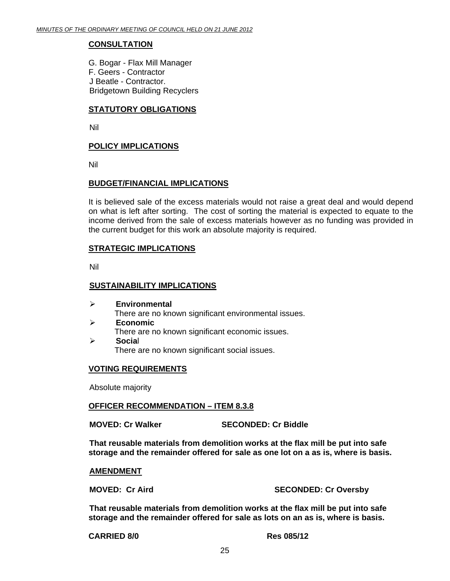#### **CONSULTATION**

G. Bogar - Flax Mill Manager F. Geers - Contractor J Beatle - Contractor. Bridgetown Building Recyclers

#### **STATUTORY OBLIGATIONS**

Nil

#### **POLICY IMPLICATIONS**

Nil

#### **BUDGET/FINANCIAL IMPLICATIONS**

It is believed sale of the excess materials would not raise a great deal and would depend on what is left after sorting. The cost of sorting the material is expected to equate to the income derived from the sale of excess materials however as no funding was provided in the current budget for this work an absolute majority is required.

#### **STRATEGIC IMPLICATIONS**

Nil

#### **SUSTAINABILITY IMPLICATIONS**

¾ **Environmental**  There are no known significant environmental issues. ¾ **Economic**  There are no known significant economic issues. ¾ **Socia**l

There are no known significant social issues.

#### **VOTING REQUIREMENTS**

Absolute majority

#### **OFFICER RECOMMENDATION – ITEM 8.3.8**

**MOVED: Cr Walker SECONDED: Cr Biddle** 

**That reusable materials from demolition works at the flax mill be put into safe storage and the remainder offered for sale as one lot on a as is, where is basis.** 

#### **AMENDMENT**

**MOVED: Cr Aird SECONDED: Cr Oversby** 

**That reusable materials from demolition works at the flax mill be put into safe storage and the remainder offered for sale as lots on an as is, where is basis.**

**CARRIED 8/0 Res 085/12**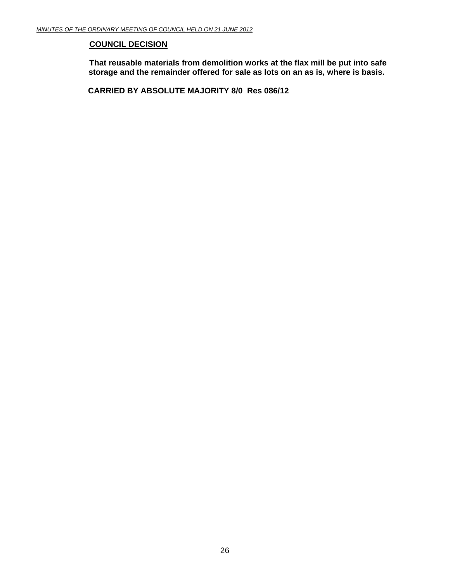#### **COUNCIL DECISION**

**That reusable materials from demolition works at the flax mill be put into safe storage and the remainder offered for sale as lots on an as is, where is basis.**

 **CARRIED BY ABSOLUTE MAJORITY 8/0 Res 086/12**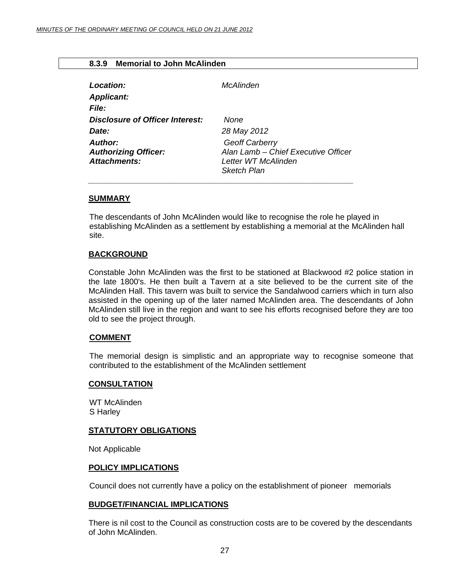#### <span id="page-26-0"></span>**8.3.9 Memorial to John McAlinden**

| Location:                                                     | McAlinden                                                                                          |
|---------------------------------------------------------------|----------------------------------------------------------------------------------------------------|
| <b>Applicant:</b>                                             |                                                                                                    |
| <b>File:</b>                                                  |                                                                                                    |
| Disclosure of Officer Interest:                               | None                                                                                               |
| Date:                                                         | 28 May 2012                                                                                        |
| Author:<br><b>Authorizing Officer:</b><br><b>Attachments:</b> | Geoff Carberry<br>Alan Lamb - Chief Executive Officer<br>Letter WT McAlinden<br><b>Sketch Plan</b> |

 *\_\_\_\_\_\_\_\_\_\_\_\_\_\_\_\_\_\_\_\_\_\_\_\_\_\_\_\_\_\_\_\_\_\_\_\_\_\_\_\_\_\_\_\_\_\_\_\_\_\_\_\_\_\_\_\_\_\_\_* 

#### **SUMMARY**

The descendants of John McAlinden would like to recognise the role he played in establishing McAlinden as a settlement by establishing a memorial at the McAlinden hall site.

#### **BACKGROUND**

Constable John McAlinden was the first to be stationed at Blackwood #2 police station in the late 1800's. He then built a Tavern at a site believed to be the current site of the McAlinden Hall. This tavern was built to service the Sandalwood carriers which in turn also assisted in the opening up of the later named McAlinden area. The descendants of John McAlinden still live in the region and want to see his efforts recognised before they are too old to see the project through.

#### **COMMENT**

The memorial design is simplistic and an appropriate way to recognise someone that contributed to the establishment of the McAlinden settlement

#### **CONSULTATION**

WT McAlinden S Harley

#### **STATUTORY OBLIGATIONS**

Not Applicable

#### **POLICY IMPLICATIONS**

Council does not currently have a policy on the establishment of pioneer memorials

#### **BUDGET/FINANCIAL IMPLICATIONS**

There is nil cost to the Council as construction costs are to be covered by the descendants of John McAlinden.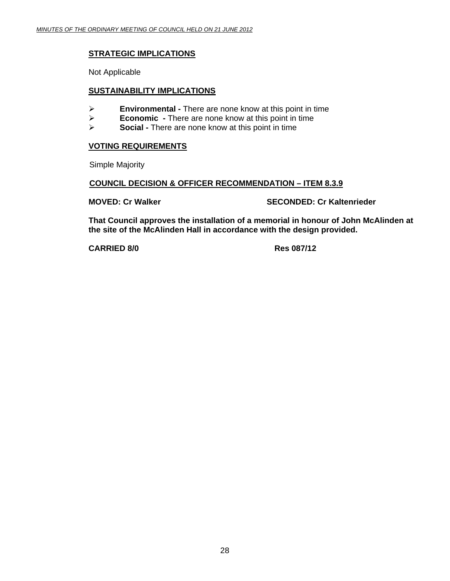#### **STRATEGIC IMPLICATIONS**

Not Applicable

#### **SUSTAINABILITY IMPLICATIONS**

- ¾ **Environmental** There are none know at this point in time
- ¾ **Economic** There are none know at this point in time
- **Social There are none know at this point in time**

#### **VOTING REQUIREMENTS**

Simple Majority

#### **COUNCIL DECISION & OFFICER RECOMMENDATION – ITEM 8.3.9**

**MOVED: Cr Walker SECONDED: Cr Kaltenrieder CONDED:** Cr Kaltenrieder

**That Council approves the installation of a memorial in honour of John McAlinden at the site of the McAlinden Hall in accordance with the design provided.** 

**CARRIED 8/0 Res 087/12**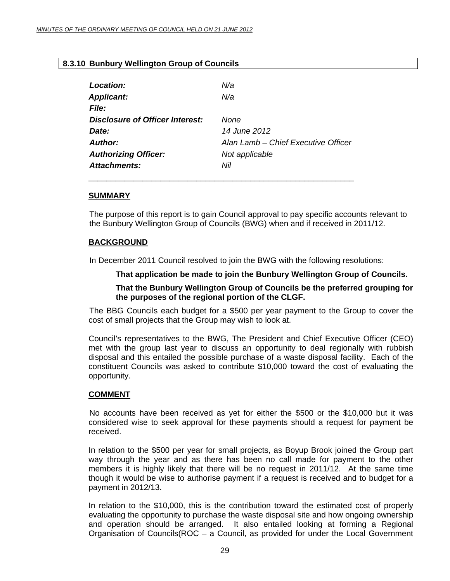#### <span id="page-28-0"></span>**8.3.10 Bunbury Wellington Group of Councils**

| Location:                       | N/a                                 |
|---------------------------------|-------------------------------------|
| <b>Applicant:</b>               | N/a                                 |
| File:                           |                                     |
| Disclosure of Officer Interest: | <b>None</b>                         |
| Date:                           | 14 June 2012                        |
| Author:                         | Alan Lamb - Chief Executive Officer |
| <b>Authorizing Officer:</b>     | Not applicable                      |
| Attachments:                    | Nil                                 |
|                                 |                                     |

#### **SUMMARY**

The purpose of this report is to gain Council approval to pay specific accounts relevant to the Bunbury Wellington Group of Councils (BWG) when and if received in 2011/12.

#### **BACKGROUND**

In December 2011 Council resolved to join the BWG with the following resolutions:

#### **That application be made to join the Bunbury Wellington Group of Councils.**

#### **That the Bunbury Wellington Group of Councils be the preferred grouping for the purposes of the regional portion of the CLGF.**

 The BBG Councils each budget for a \$500 per year payment to the Group to cover the cost of small projects that the Group may wish to look at.

Council's representatives to the BWG, The President and Chief Executive Officer (CEO) met with the group last year to discuss an opportunity to deal regionally with rubbish disposal and this entailed the possible purchase of a waste disposal facility. Each of the constituent Councils was asked to contribute \$10,000 toward the cost of evaluating the opportunity.

#### **COMMENT**

 No accounts have been received as yet for either the \$500 or the \$10,000 but it was considered wise to seek approval for these payments should a request for payment be received.

In relation to the \$500 per year for small projects, as Boyup Brook joined the Group part way through the year and as there has been no call made for payment to the other members it is highly likely that there will be no request in 2011/12. At the same time though it would be wise to authorise payment if a request is received and to budget for a payment in 2012/13.

In relation to the \$10,000, this is the contribution toward the estimated cost of properly evaluating the opportunity to purchase the waste disposal site and how ongoing ownership and operation should be arranged. It also entailed looking at forming a Regional Organisation of Councils(ROC – a Council, as provided for under the Local Government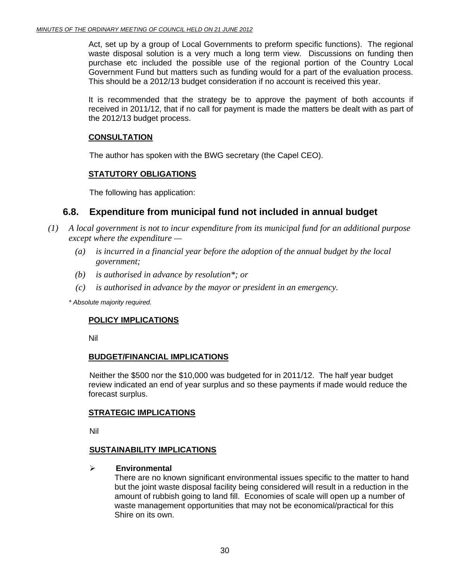Act, set up by a group of Local Governments to preform specific functions). The regional waste disposal solution is a very much a long term view. Discussions on funding then purchase etc included the possible use of the regional portion of the Country Local Government Fund but matters such as funding would for a part of the evaluation process. This should be a 2012/13 budget consideration if no account is received this year.

It is recommended that the strategy be to approve the payment of both accounts if received in 2011/12, that if no call for payment is made the matters be dealt with as part of the 2012/13 budget process.

#### **CONSULTATION**

The author has spoken with the BWG secretary (the Capel CEO).

#### **STATUTORY OBLIGATIONS**

The following has application:

### **6.8. Expenditure from municipal fund not included in annual budget**

- *(1) A local government is not to incur expenditure from its municipal fund for an additional purpose except where the expenditure —* 
	- *(a) is incurred in a financial year before the adoption of the annual budget by the local government;*
	- *(b) is authorised in advance by resolution\*; or*
	- *(c) is authorised in advance by the mayor or president in an emergency.*

 *\* Absolute majority required.* 

#### **POLICY IMPLICATIONS**

Nil

#### **BUDGET/FINANCIAL IMPLICATIONS**

Neither the \$500 nor the \$10,000 was budgeted for in 2011/12. The half year budget review indicated an end of year surplus and so these payments if made would reduce the forecast surplus.

#### **STRATEGIC IMPLICATIONS**

Nil

#### **SUSTAINABILITY IMPLICATIONS**

#### ¾ **Environmental**

There are no known significant environmental issues specific to the matter to hand but the joint waste disposal facility being considered will result in a reduction in the amount of rubbish going to land fill. Economies of scale will open up a number of waste management opportunities that may not be economical/practical for this Shire on its own.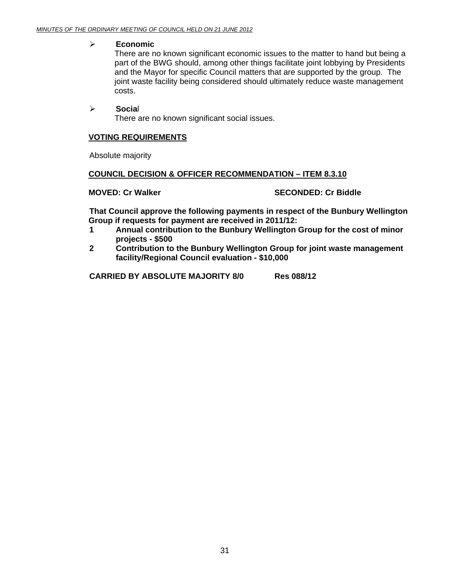#### ¾ **Economic**

There are no known significant economic issues to the matter to hand but being a part of the BWG should, among other things facilitate joint lobbying by Presidents and the Mayor for specific Council matters that are supported by the group. The joint waste facility being considered should ultimately reduce waste management costs.

#### ¾ **Socia**l

There are no known significant social issues.

#### **VOTING REQUIREMENTS**

Absolute majority

#### **COUNCIL DECISION & OFFICER RECOMMENDATION – ITEM 8.3.10**

#### **MOVED: Cr Walker SECONDED: Cr Biddle**

**That Council approve the following payments in respect of the Bunbury Wellington Group if requests for payment are received in 2011/12:** 

- **1 Annual contribution to the Bunbury Wellington Group for the cost of minor projects - \$500**
- **2 Contribution to the Bunbury Wellington Group for joint waste management facility/Regional Council evaluation - \$10,000**

**CARRIED BY ABSOLUTE MAJORITY 8/0 Res 088/12**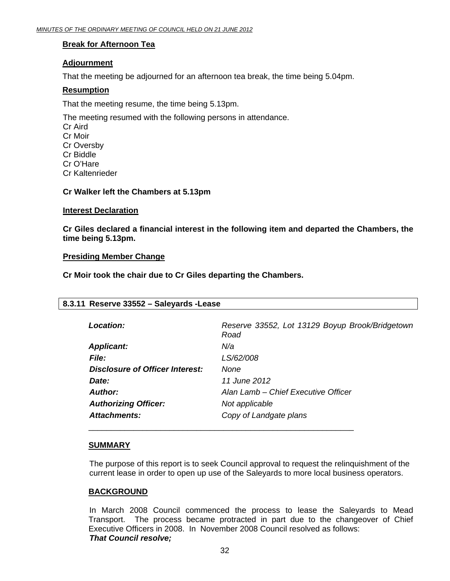#### <span id="page-31-0"></span>**Break for Afternoon Tea**

#### **Adjournment**

That the meeting be adjourned for an afternoon tea break, the time being 5.04pm.

#### **Resumption**

That the meeting resume, the time being 5.13pm.

The meeting resumed with the following persons in attendance. Cr Aird Cr Moir Cr Oversby Cr Biddle Cr O'Hare Cr Kaltenrieder

#### **Cr Walker left the Chambers at 5.13pm**

#### **Interest Declaration**

**Cr Giles declared a financial interest in the following item and departed the Chambers, the time being 5.13pm.** 

#### **Presiding Member Change**

**Cr Moir took the chair due to Cr Giles departing the Chambers.** 

| 8.3.11 Reserve 33552 - Saleyards - Lease |                                                         |
|------------------------------------------|---------------------------------------------------------|
| Location:                                | Reserve 33552, Lot 13129 Boyup Brook/Bridgetown<br>Road |
| <b>Applicant:</b>                        | N/a                                                     |
| <i>File:</i>                             | LS/62/008                                               |
| Disclosure of Officer Interest:          | None                                                    |
| Date:                                    | 11 June 2012                                            |
| Author:                                  | Alan Lamb – Chief Executive Officer                     |
| <b>Authorizing Officer:</b>              | Not applicable                                          |
| Attachments:                             | Copy of Landgate plans                                  |

#### **SUMMARY**

The purpose of this report is to seek Council approval to request the relinquishment of the current lease in order to open up use of the Saleyards to more local business operators.

#### **BACKGROUND**

 In March 2008 Council commenced the process to lease the Saleyards to Mead Transport. The process became protracted in part due to the changeover of Chief Executive Officers in 2008. In November 2008 Council resolved as follows: *That Council resolve;*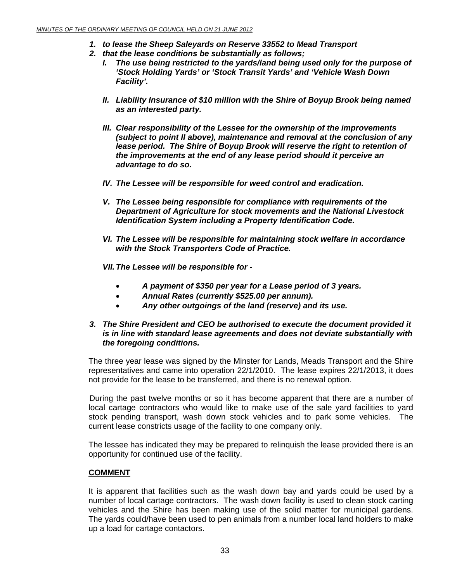- *1. to lease the Sheep Saleyards on Reserve 33552 to Mead Transport*
- *2. that the lease conditions be substantially as follows;* 
	- *I. The use being restricted to the yards/land being used only for the purpose of 'Stock Holding Yards' or 'Stock Transit Yards' and 'Vehicle Wash Down Facility'.*
	- *II. Liability Insurance of \$10 million with the Shire of Boyup Brook being named as an interested party.*
	- *III. Clear responsibility of the Lessee for the ownership of the improvements (subject to point II above), maintenance and removal at the conclusion of any lease period. The Shire of Boyup Brook will reserve the right to retention of the improvements at the end of any lease period should it perceive an advantage to do so.*
	- *IV. The Lessee will be responsible for weed control and eradication.*
	- *V. The Lessee being responsible for compliance with requirements of the Department of Agriculture for stock movements and the National Livestock Identification System including a Property Identification Code.*
	- *VI. The Lessee will be responsible for maintaining stock welfare in accordance with the Stock Transporters Code of Practice.*
	- *VII. The Lessee will be responsible for* 
		- *A payment of \$350 per year for a Lease period of 3 years.*
		- *Annual Rates (currently \$525.00 per annum).*
		- *Any other outgoings of the land (reserve) and its use.*

#### *3. The Shire President and CEO be authorised to execute the document provided it is in line with standard lease agreements and does not deviate substantially with the foregoing conditions.*

The three year lease was signed by the Minster for Lands, Meads Transport and the Shire representatives and came into operation 22/1/2010. The lease expires 22/1/2013, it does not provide for the lease to be transferred, and there is no renewal option.

 During the past twelve months or so it has become apparent that there are a number of local cartage contractors who would like to make use of the sale yard facilities to yard stock pending transport, wash down stock vehicles and to park some vehicles. The current lease constricts usage of the facility to one company only.

The lessee has indicated they may be prepared to relinquish the lease provided there is an opportunity for continued use of the facility.

#### **COMMENT**

It is apparent that facilities such as the wash down bay and yards could be used by a number of local cartage contractors. The wash down facility is used to clean stock carting vehicles and the Shire has been making use of the solid matter for municipal gardens. The yards could/have been used to pen animals from a number local land holders to make up a load for cartage contactors.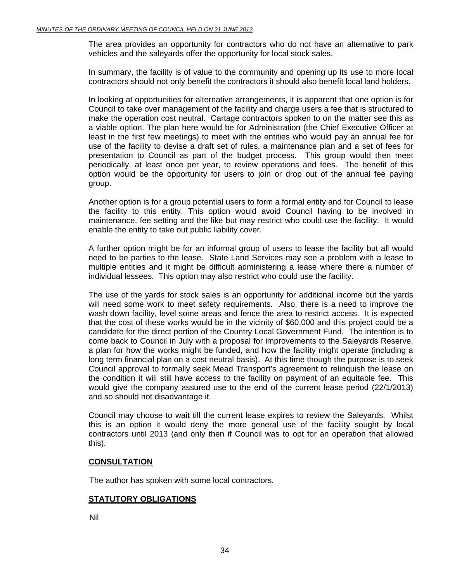The area provides an opportunity for contractors who do not have an alternative to park vehicles and the saleyards offer the opportunity for local stock sales.

In summary, the facility is of value to the community and opening up its use to more local contractors should not only benefit the contractors it should also benefit local land holders.

In looking at opportunities for alternative arrangements, it is apparent that one option is for Council to take over management of the facility and charge users a fee that is structured to make the operation cost neutral. Cartage contractors spoken to on the matter see this as a viable option. The plan here would be for Administration (the Chief Executive Officer at least in the first few meetings) to meet with the entities who would pay an annual fee for use of the facility to devise a draft set of rules, a maintenance plan and a set of fees for presentation to Council as part of the budget process. This group would then meet periodically, at least once per year, to review operations and fees. The benefit of this option would be the opportunity for users to join or drop out of the annual fee paying group.

Another option is for a group potential users to form a formal entity and for Council to lease the facility to this entity. This option would avoid Council having to be involved in maintenance, fee setting and the like but may restrict who could use the facility. It would enable the entity to take out public liability cover.

A further option might be for an informal group of users to lease the facility but all would need to be parties to the lease. State Land Services may see a problem with a lease to multiple entities and it might be difficult administering a lease where there a number of individual lessees. This option may also restrict who could use the facility.

The use of the yards for stock sales is an opportunity for additional income but the yards will need some work to meet safety requirements. Also, there is a need to improve the wash down facility, level some areas and fence the area to restrict access. It is expected that the cost of these works would be in the vicinity of \$60,000 and this project could be a candidate for the direct portion of the Country Local Government Fund. The intention is to come back to Council in July with a proposal for improvements to the Saleyards Reserve, a plan for how the works might be funded, and how the facility might operate (including a long term financial plan on a cost neutral basis). At this time though the purpose is to seek Council approval to formally seek Mead Transport's agreement to relinquish the lease on the condition it will still have access to the facility on payment of an equitable fee. This would give the company assured use to the end of the current lease period (22/1/2013) and so should not disadvantage it.

Council may choose to wait till the current lease expires to review the Saleyards. Whilst this is an option it would deny the more general use of the facility sought by local contractors until 2013 (and only then if Council was to opt for an operation that allowed this).

#### **CONSULTATION**

The author has spoken with some local contractors.

#### **STATUTORY OBLIGATIONS**

Nil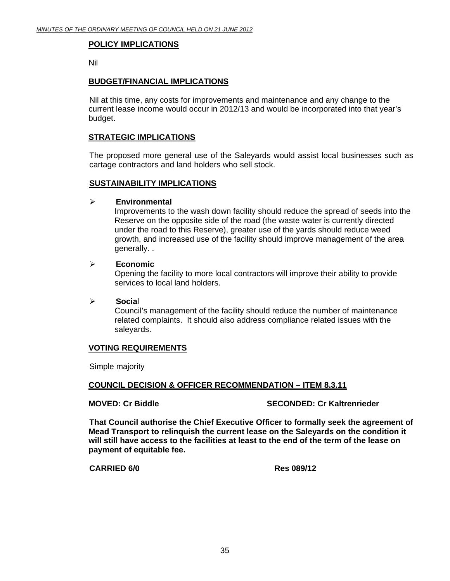#### **POLICY IMPLICATIONS**

Nil

#### **BUDGET/FINANCIAL IMPLICATIONS**

Nil at this time, any costs for improvements and maintenance and any change to the current lease income would occur in 2012/13 and would be incorporated into that year's budget.

#### **STRATEGIC IMPLICATIONS**

The proposed more general use of the Saleyards would assist local businesses such as cartage contractors and land holders who sell stock.

#### **SUSTAINABILITY IMPLICATIONS**

#### ¾ **Environmental**

Improvements to the wash down facility should reduce the spread of seeds into the Reserve on the opposite side of the road (the waste water is currently directed under the road to this Reserve), greater use of the yards should reduce weed growth, and increased use of the facility should improve management of the area generally. .

#### ¾ **Economic**

Opening the facility to more local contractors will improve their ability to provide services to local land holders.

#### ¾ **Socia**l

Council's management of the facility should reduce the number of maintenance related complaints. It should also address compliance related issues with the saleyards.

#### **VOTING REQUIREMENTS**

Simple majority

#### **COUNCIL DECISION & OFFICER RECOMMENDATION – ITEM 8.3.11**

#### **MOVED: Cr Biddle SECONDED: Cr Kaltrenrieder**

**That Council authorise the Chief Executive Officer to formally seek the agreement of Mead Transport to relinquish the current lease on the Saleyards on the condition it will still have access to the facilities at least to the end of the term of the lease on payment of equitable fee.** 

**CARRIED 6/0 Res 089/12**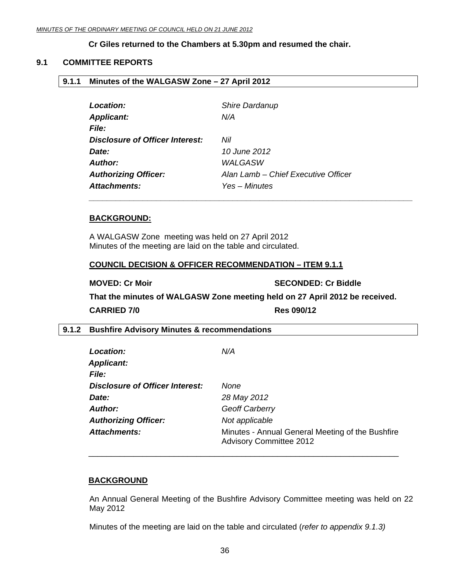#### **Cr Giles returned to the Chambers at 5.30pm and resumed the chair.**

#### <span id="page-35-0"></span>**9.1 COMMITTEE REPORTS**

#### **9.1.1 Minutes of the WALGASW Zone – 27 April 2012**

| Location:                              | Shire Dardanup                      |
|----------------------------------------|-------------------------------------|
| <b>Applicant:</b>                      | N/A                                 |
| <b>File:</b>                           |                                     |
| <b>Disclosure of Officer Interest:</b> | Nil                                 |
| Date:                                  | 10 June 2012                        |
| <b>Author:</b>                         | <b>WALGASW</b>                      |
| <b>Authorizing Officer:</b>            | Alan Lamb - Chief Executive Officer |
| <b>Attachments:</b>                    | Yes – Minutes                       |

#### **BACKGROUND:**

A WALGASW Zone meeting was held on 27 April 2012 Minutes of the meeting are laid on the table and circulated.

#### **COUNCIL DECISION & OFFICER RECOMMENDATION – ITEM 9.1.1**

**MOVED: Cr Moir**  $\qquad \qquad$  **SECONDED: Cr Biddle That the minutes of WALGASW Zone meeting held on 27 April 2012 be received. CARRIED 7/0 Res 090/12** 

#### **9.1.2 Bushfire Advisory Minutes & recommendations**

| Location:<br><b>Applicant:</b>         | N/A                                                                                |
|----------------------------------------|------------------------------------------------------------------------------------|
| <i>File:</i>                           |                                                                                    |
| <b>Disclosure of Officer Interest:</b> | None                                                                               |
| Date:                                  | 28 May 2012                                                                        |
| Author:                                | <b>Geoff Carberry</b>                                                              |
| <b>Authorizing Officer:</b>            | Not applicable                                                                     |
| <b>Attachments:</b>                    | Minutes - Annual General Meeting of the Bushfire<br><b>Advisory Committee 2012</b> |

#### **BACKGROUND**

An Annual General Meeting of the Bushfire Advisory Committee meeting was held on 22 May 2012

Minutes of the meeting are laid on the table and circulated (*refer to appendix 9.1.3)* 

\_\_\_\_\_\_\_\_\_\_\_\_\_\_\_\_\_\_\_\_\_\_\_\_\_\_\_\_\_\_\_\_\_\_\_\_\_\_\_\_\_\_\_\_\_\_\_\_\_\_\_\_\_\_\_\_\_\_\_\_\_\_\_\_\_\_\_\_\_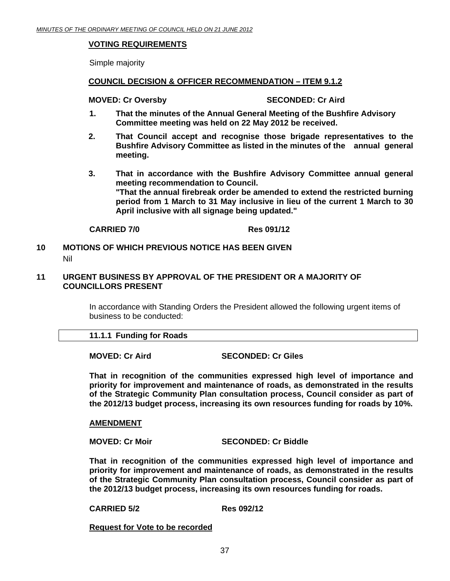#### <span id="page-36-0"></span>**VOTING REQUIREMENTS**

Simple majority

#### **COUNCIL DECISION & OFFICER RECOMMENDATION – ITEM 9.1.2**

#### **MOVED: Cr Oversby SECONDED: Cr Aird 3DECONDED: Cr Aird 3DECONDED: Cr Aird 3DECONDED:**

- **1. That the minutes of the Annual General Meeting of the Bushfire Advisory Committee meeting was held on 22 May 2012 be received.**
- **2. That Council accept and recognise those brigade representatives to the Bushfire Advisory Committee as listed in the minutes of the annual general meeting.**
- **3. That in accordance with the Bushfire Advisory Committee annual general meeting recommendation to Council. "That the annual firebreak order be amended to extend the restricted burning period from 1 March to 31 May inclusive in lieu of the current 1 March to 30 April inclusive with all signage being updated."**

#### **CARRIED 7/0 Res 091/12**

#### **10 MOTIONS OF WHICH PREVIOUS NOTICE HAS BEEN GIVEN**  Nil

#### **11 URGENT BUSINESS BY APPROVAL OF THE PRESIDENT OR A MAJORITY OF COUNCILLORS PRESENT**

In accordance with Standing Orders the President allowed the following urgent items of business to be conducted:

#### **11.1.1 Funding for Roads**

#### **MOVED: Cr Aird SECONDED: Cr Giles**

**That in recognition of the communities expressed high level of importance and priority for improvement and maintenance of roads, as demonstrated in the results of the Strategic Community Plan consultation process, Council consider as part of the 2012/13 budget process, increasing its own resources funding for roads by 10%.** 

#### **AMENDMENT**

**MOVED: Cr Moir** SECONDED: Cr Biddle

**That in recognition of the communities expressed high level of importance and priority for improvement and maintenance of roads, as demonstrated in the results of the Strategic Community Plan consultation process, Council consider as part of the 2012/13 budget process, increasing its own resources funding for roads.**

**CARRIED 5/2 Res 092/12** 

**Request for Vote to be recorded**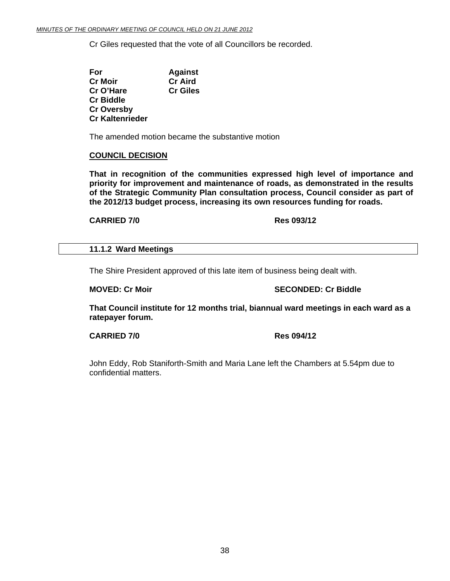<span id="page-37-0"></span>Cr Giles requested that the vote of all Councillors be recorded.

 **For Against Cr Moir Cr Aird Cr O'Hare Cr Giles Cr Biddle Cr Oversby Cr Kaltenrieder** 

The amended motion became the substantive motion

#### **COUNCIL DECISION**

**That in recognition of the communities expressed high level of importance and priority for improvement and maintenance of roads, as demonstrated in the results of the Strategic Community Plan consultation process, Council consider as part of the 2012/13 budget process, increasing its own resources funding for roads.** 

**CARRIED 7/0 Res 093/12** 

#### **11.1.2 Ward Meetings**

The Shire President approved of this late item of business being dealt with.

**MOVED: Cr Moir** SECONDED: Cr Biddle

**That Council institute for 12 months trial, biannual ward meetings in each ward as a ratepayer forum.** 

**CARRIED 7/0 Res 094/12** 

John Eddy, Rob Staniforth-Smith and Maria Lane left the Chambers at 5.54pm due to confidential matters.